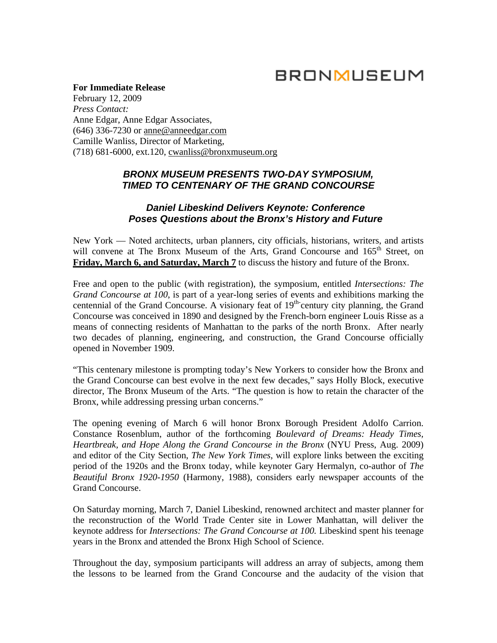# **BRONMUSEUM**

**For Immediate Release**  February 12, 2009 *Press Contact:*  Anne Edgar, Anne Edgar Associates, (646) 336-7230 or [anne@anneedgar.com](mailto:anne@anneedgar.com) Camille Wanliss, Director of Marketing, (718) 681-6000, ext.120, [cwanliss@bronxmuseum.org](mailto:cwanliss@bronxmuseum.org)

## *BRONX MUSEUM PRESENTS TWO-DAY SYMPOSIUM, TIMED TO CENTENARY OF THE GRAND CONCOURSE*

### *Daniel Libeskind Delivers Keynote: Conference Poses Questions about the Bronx's History and Future*

New York — Noted architects, urban planners, city officials, historians, writers, and artists will convene at The Bronx Museum of the Arts, Grand Concourse and 165<sup>th</sup> Street, on **Friday, March 6, and Saturday, March 7** to discuss the history and future of the Bronx.

Free and open to the public (with registration), the symposium, entitled *Intersections: The Grand Concourse at 100*, is part of a year-long series of events and exhibitions marking the centennial of the Grand Concourse. A visionary feat of  $19<sup>th</sup>$  century city planning, the Grand Concourse was conceived in 1890 and designed by the French-born engineer Louis Risse as a means of connecting residents of Manhattan to the parks of the north Bronx. After nearly two decades of planning, engineering, and construction, the Grand Concourse officially opened in November 1909.

"This centenary milestone is prompting today's New Yorkers to consider how the Bronx and the Grand Concourse can best evolve in the next few decades," says Holly Block, executive director, The Bronx Museum of the Arts. "The question is how to retain the character of the Bronx, while addressing pressing urban concerns."

The opening evening of March 6 will honor Bronx Borough President Adolfo Carrion. Constance Rosenblum, author of the forthcoming *Boulevard of Dreams: Heady Times, Heartbreak, and Hope Along the Grand Concourse in the Bronx* (NYU Press, Aug. 2009) and editor of the City Section, *The New York Times*, will explore links between the exciting period of the 1920s and the Bronx today, while keynoter Gary Hermalyn, co-author of *The Beautiful Bronx 1920-1950* (Harmony, 1988), considers early newspaper accounts of the Grand Concourse.

On Saturday morning, March 7, Daniel Libeskind, renowned architect and master planner for the reconstruction of the World Trade Center site in Lower Manhattan, will deliver the keynote address for *Intersections: The Grand Concourse at 100.* Libeskind spent his teenage years in the Bronx and attended the Bronx High School of Science.

Throughout the day, symposium participants will address an array of subjects, among them the lessons to be learned from the Grand Concourse and the audacity of the vision that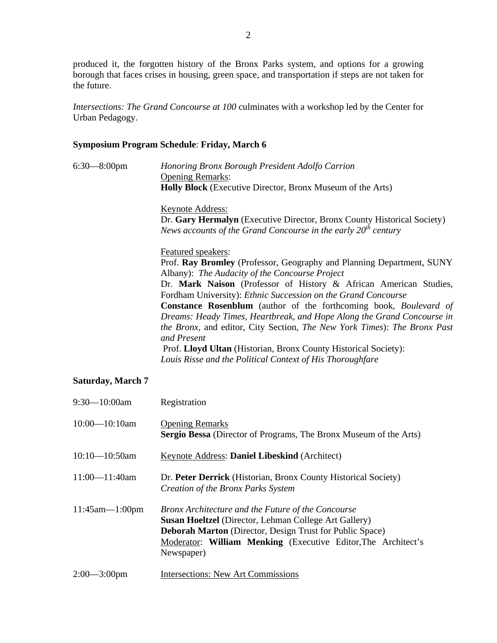produced it, the forgotten history of the Bronx Parks system, and options for a growing borough that faces crises in housing, green space, and transportation if steps are not taken for the future.

*Intersections: The Grand Concourse at 100* culminates with a workshop led by the Center for Urban Pedagogy.

## **Symposium Program Schedule**: **Friday, March 6**

| $6:30-8:00$ pm | Honoring Bronx Borough President Adolfo Carrion                                                                                                  |
|----------------|--------------------------------------------------------------------------------------------------------------------------------------------------|
|                | <b>Opening Remarks:</b>                                                                                                                          |
|                | <b>Holly Block</b> (Executive Director, Bronx Museum of the Arts)                                                                                |
|                | <b>Keynote Address:</b>                                                                                                                          |
|                | Dr. Gary Hermalyn (Executive Director, Bronx County Historical Society)<br>News accounts of the Grand Concourse in the early $20th$ century      |
|                | Featured speakers:                                                                                                                               |
|                | Prof. Ray Bromley (Professor, Geography and Planning Department, SUNY<br>Albany): The Audacity of the Concourse Project                          |
|                | Dr. Mark Naison (Professor of History & African American Studies,                                                                                |
|                | Fordham University): Ethnic Succession on the Grand Concourse<br><b>Constance Rosenblum</b> (author of the forthcoming book, <i>Boulevard of</i> |
|                | Dreams: Heady Times, Heartbreak, and Hope Along the Grand Concourse in                                                                           |
|                | the Bronx, and editor, City Section, The New York Times): The Bronx Past<br>and Present                                                          |
|                | Prof. Lloyd Ultan (Historian, Bronx County Historical Society):                                                                                  |
|                | Louis Risse and the Political Context of His Thoroughfare                                                                                        |

## **Saturday, March 7**

| $9:30 - 10:00$ am     | Registration                                                                                                                                                                                                                                                         |
|-----------------------|----------------------------------------------------------------------------------------------------------------------------------------------------------------------------------------------------------------------------------------------------------------------|
| $10:00 - 10:10$ am    | <b>Opening Remarks</b><br><b>Sergio Bessa</b> (Director of Programs, The Bronx Museum of the Arts)                                                                                                                                                                   |
| $10:10 - 10:50$ am    | Keynote Address: Daniel Libeskind (Architect)                                                                                                                                                                                                                        |
| $11:00 - 11:40$ am    | Dr. Peter Derrick (Historian, Bronx County Historical Society)<br>Creation of the Bronx Parks System                                                                                                                                                                 |
| $11:45$ am— $1:00$ pm | Bronx Architecture and the Future of the Concourse<br><b>Susan Hoeltzel</b> (Director, Lehman College Art Gallery)<br><b>Deborah Marton</b> (Director, Design Trust for Public Space)<br>Moderator: William Menking (Executive Editor, The Architect's<br>Newspaper) |
| $2:00 - 3:00$ pm      | <b>Intersections: New Art Commissions</b>                                                                                                                                                                                                                            |